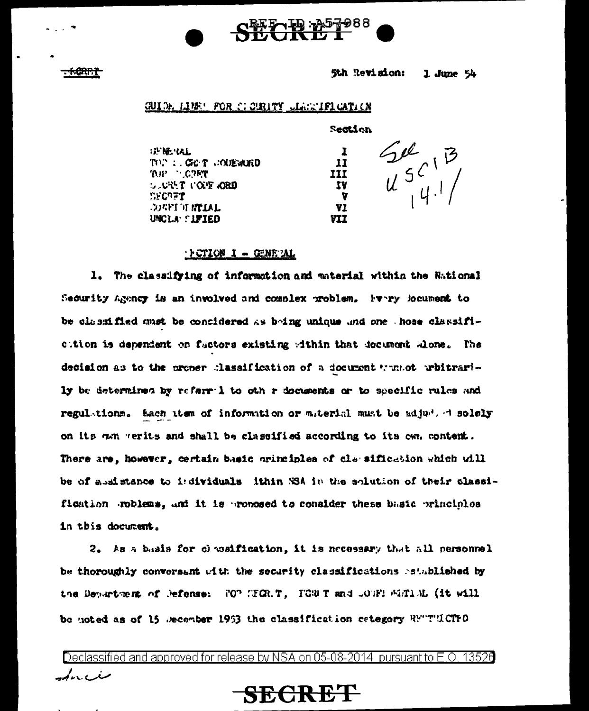

**ACRET** 

5th Revision: 1. June  $54$ 

**Section** 

 $\mathbf{r}$ 

11

77

**V** VI.

VII

**III** 

## **GUIDE LINE: FOR CIORITY CLAIMIFICATION**

**GENERAL** TOP : GOT CODEMED THE CITY **SUCKET COPE ORD SECRET** DELL'AL MATTER UNCLA SIFIED

 $\begin{array}{c} 2e^{2} \\ u^{5}C^{1} \\ u^{1} \end{array}$ 

### $\cdot$  } CTION I - GENE AL

1. The classifying of information and material within the National Security agency is an involved and complex problem. Every locument to be classified must be contidered as bring unique and one those classificition is dependent on factors existing within that document alone. The decision as to the proner classification of a document whenet whitrarily be determined by referril to oth r documents or to specific rules and regulations. Each atem of information or material must be adjuded solely on its non verits and shall be classified according to its own content. There are, however, certain basic orinciples of classification which will be of assistance to individuals ithin %SA in the solution of their classification roblems, and it is proposed to consider these basic principles in this document.

2. As a basis for classification, it is necessary that all personnel be thoroughly conversant with the security classifications astublished by the Department of Defense: 70° CFCR.T, FCWT and JOTF! FRTIAL (it will be noted as of 15 December 1953 the classification category RYTTLCTFO

Declassified and approved for release by NSA on 05-08-2014 pursuant to E.O. 13526 سنر، ربار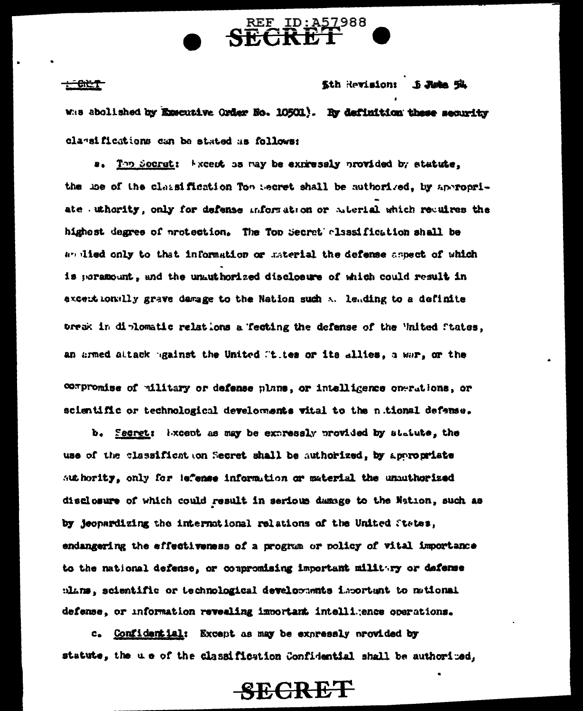

 $-60.7$ 

**Sth Revisions**  $5$  Juin  $5^{\circ}$ 

Was abolished by Executive Order No. 10501). By definition these security classifications can be stated as follows:

a. The Socrat: kxcent has may be expressly provided by statute. the use of the classification Top secret shall be authorized, by appropriate uthority, only for defense miformation or aderial which reculres the highest degree of protection. The Top Secret classification shall be an illed only to that information or material the defense aspect of which is paramount, and the unauthorized disclosure of which could result in excent monally grave damage to the Nation such at leading to a definite bresk in diplomatic relations a fecting the defense of the 'inited ftates, an armed attack against the United States or its allies, a war, or the

compromise of military or defense plans, or intelligence operations, or scientific or technological develoments vital to the nitional defense.

b. Secret: Wixcept as may be expressly provided by statute, the use of the classificat on Secret shall be authorized, by appropriate suthority, only for lefense information or material the unauthorized disclosure of which could result in serious damage to the Nation, such as by jeopardizing the international relations of the United States, endangering the effectiveness of a program or policy of vital importance to the national defense, or compromising important military or defense plans, scientific or technological developments important to national defense, or information revealing innortant intelligence operations.

c. Confidential: Except as may be expressly provided by statute, the u e of the classification Confidential shall be authorized,

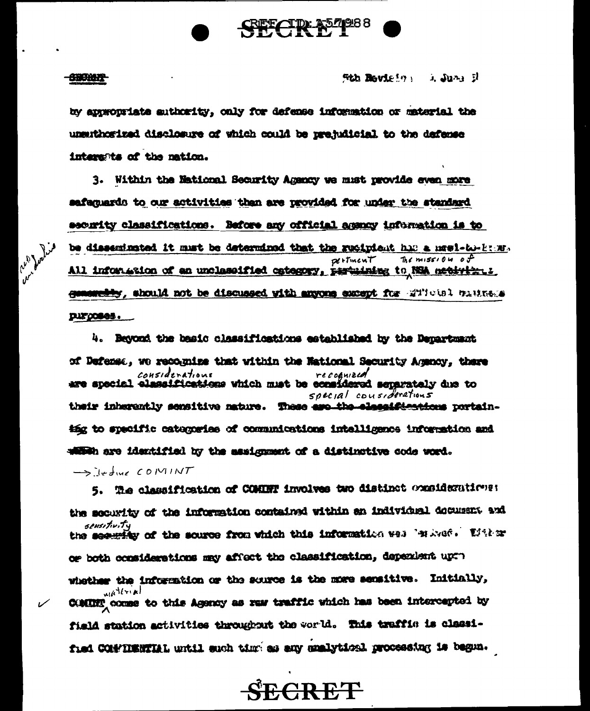

#### **CHORE**

Sth Revision in June 1

by appropriate suthority, only for defense information or material the unsuthorized disclosure of which could be prejudicial to the defense interents of the nation.

3. Within the National Security Agency we must provide even more safaguards to our activities than are provided for under the standard security classifications. Before any official agency information is to be disseminated it must be determined that the recipient has a newl-to-keny. The mission of dertment All information of an unclassified category, pertuining to NSA netivity. I senemetry, should not be discussed with anyons except for which bulkes purposes.

4. Beyond the basic classifications established by the Department of Defense, we recognize that within the National Security Agency, there Considerations recognized recognized considerations special considerations their inherently sensitive mature. These are the eleccifications portaining to specific categories of communications intelligence information and within are identified by the assignment of a distinctive code word.

 $\rightarrow$  ifful COMINT

5. The classification of COMINT involves two distinct considerations: the security of the information contained within an individual decument and *sensitivit*y the security of the source from which this information well 'where'. Wither or both considerations may affect the classification, dependent up: whether the information or the source is the more sensitive. Initially, waterial COMING comes to this Agency as ruw traffic which has been intercepted by field station activities throughout the world. This traffic is classified COMPILENTIAL until such time as any analytical processing is began.

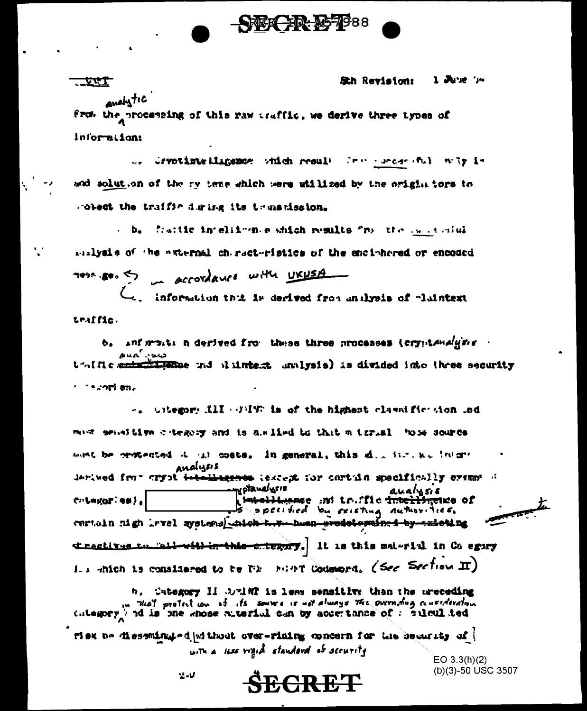

 $1$  June  $n$ Sth Revision:

endlytic from the processing of this raw traffic, we derive three types of information:

<u> Jirt</u>

u. Gryptimurilinemos which result from the end with iand solution of the ry teme which were utilized by the origin tors to spiect the traffic during its transmission.

. b. fraitic intellimate which results "roll the called all mislysis of the axternal chiracteristics of the enciphered or encoded of accordance with UKUSA  $\sim$ 

information thit is derived from analysis of plaintext traffic.

 $b_{i}$  and must a derived from these three processes (crypt analysis  $\cdot$  $\mathbf{A}$ ua  $\mathbf{A}$ thille and the and dintest unlysis) is divided into three security  $1.24$  and  $8\%$ 

-. Gitegory III (FIT is of the highest classific sion ind must sensitive category and is assified to that a trual hose source wet be ermoented it in costs. In general, this dimited the inform Analysis derived from aryot <del>intelligence</del> lescept for cortain specifically exempt of **my ptanelysis** er aualysis<br>ا<del>صلحا لیومود</del> :ht tr.ffic <del>intellingu</del>e of  $C:$  League:  $\bullet$ #  $\}$ s specified by existing nuthorities. certain nigh level systems shich two hoon prodoterained by existing directives to mali with in this criegary. It is this material in Ca egory I.  $x$  -thich is considered to be Tike Mint Codeword. (See Section II)

b. Category II OuthT is less sensitive than the preceding w that protect we of its source is not always the overnows consideration.

risk be dissemingted without over-rining concern for the security of ( with a less rigid standard of security

<del>ŠECR ET</del>

 $EO 3.3(h)(2)$ (b)(3)-50 USC 3507

 $2.1$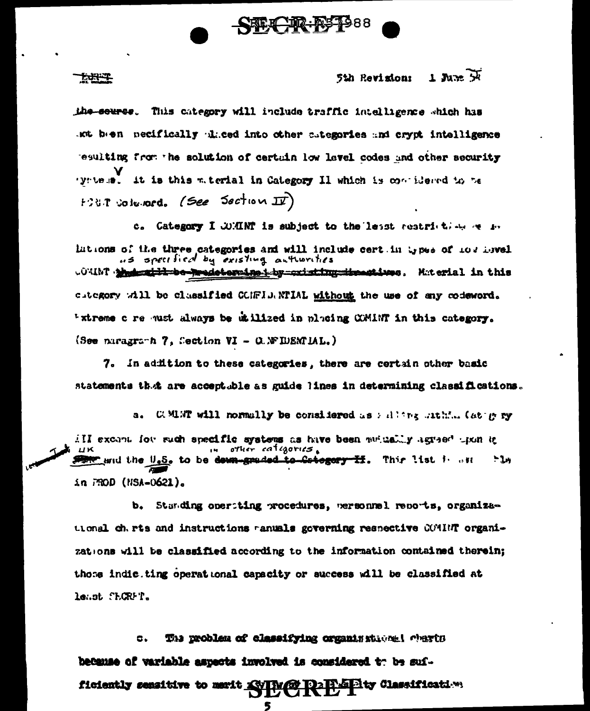

#### $1$  June  $\overline{M}$ 5th Revisions

the seures. This category will include traffic intelligence which has the bosh necifically diced into other sutegories and crypt intelligence resulting from the solution of certain low lavel codes and other security it is this material in Category II which is contidered to be r yn te as L FOUT columned. (See Section II)

1.J.Y.T

c. Category I WMINT is subject to the lesst restriction of the lations of the three categories and will include cert in types of 107 havel us specified by existing authorities .0%IMT . had this be predetermined by cristing it restines . Material in this citegory will be classified CONFIDANTIAL without the use of any codeword. "xtreme c re must always be utilized in placing COMINT in this category. (See paragraph 7, Section VI - O. WEIDENTIAL.)

7. In addition to these categories, there are certain other basic statements that are acceptable as guide lines in determining classifications.

a. COMENT will normally be considered as allowed attain (at my ry ill excant for such specific systems as have been mutually agreed than in other categories. the and the U.S. to be dewn-graded to Category II. Thir list is an  $-1$ in 790D (NSA-0621).

b. Standing operting procedures, personnel reports, organizational charts and instructions ranuals geverning respective COMBIT organizations will be classified according to the information contained therein; those indic. ting operational capacity or success will be classified at least SECRFT.

The problem of classifying organisational charts  $\sigma$ . because of variable aspects involved is considered to be suf-**Pas Pity Classification** ficiently sensitive to merit XVIV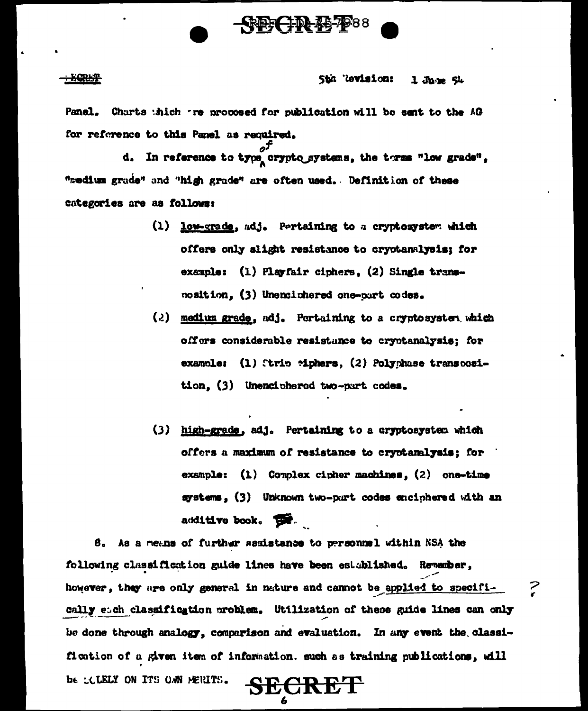

#### Sth Revision: 1 June 54

Panel. Charts thich tre proposed for publication will be sent to the AG for reference to this Panel as required.

d. In reference to type crypto systems, the terms "low grade", "medium grade" and "high grade" are often used. Definition of these categories are as follows:

- (1) low-grade, adj. Pertaining to a cryptosystem which offers only slight resistance to cryptanalysis; for example: (1) Playfair ciphers, (2) Single transnosition, (3) Unenciphered one-part codes.
- $(2)$  medium grade, adj. Pertaining to a cryptosystem which offers considerable resistance to cryptanalysis: for example: (1) Tirip Miphers, (2) Polyphase transposition, (3) Unenciphered two-part codes.
- (3) high-grade, adj. Pertaining to a cryptosystem which offers a maximum of resistance to cryptanalysis; for example: (1) Complex cipher machines, (2) one-time systems, (3) Unknown two-part codes enciphered with an additive book. The

As a means of further assistance to prrsonnel within NSA the 8. following classification guide lines have been established. Remember, however, they are only general in nature and cannot be applied to specifically each classification problem. Utilization of these guide lines can only be done through analogy, comparison and evaluation. In any event the classification of a given item of information. such as training publications, will be SCLELY ON ITS OWN MERITS.

SECRET

- Karr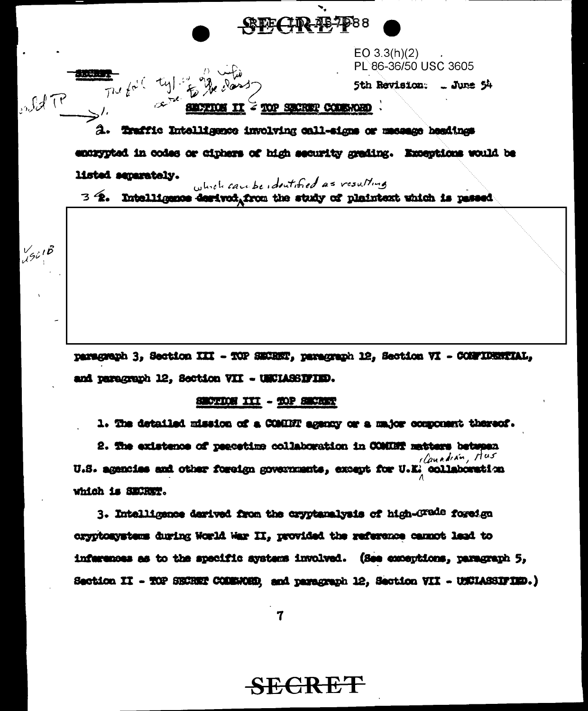

EO 3.3(h)(2) PL 86-36/50 USC 3605

5th Revision: . June 54

### TOP SECRET COMMOND

Indet P The fail tyle to the class 2. Traffic Intelligence involving call-signs or massage headings encrypted in codes or ciphers of high security grading. Exceptions would be listed separately.

which can be identified as resulting

 $3.4$ . Intelligence destvoi, from the study of plaintext which is passed

paragraph 3, Section III - TOP SECRET, paragraph 12, Section VI - CONFIDENTIAL, and paragraph 12, Section VII - UNCLASSIFIED.

### SECTION III - TOP SECRET

 $\frac{1}{4}$ 9018

1. The detailed mission of a COMENT agency or a major component thereof.

2. The existence of peacetime collaboration in COMINT matters between Ilanadian, Hus U.S. agencies and other foreign governments, except for U.E. collaboration which is SECRET.

3. Intelligence derived from the cryptanalysis of high-Grade foreign cryptomystems during World War II, provided the reference cannot land to inferences as to the specific aystems involved. (See coneptions, paragraph 5, Saction II - TOP SECRET COMENOED, and paragraph 12, Saction VII - UNCLASSIFIED.)

 $\mathbf 7$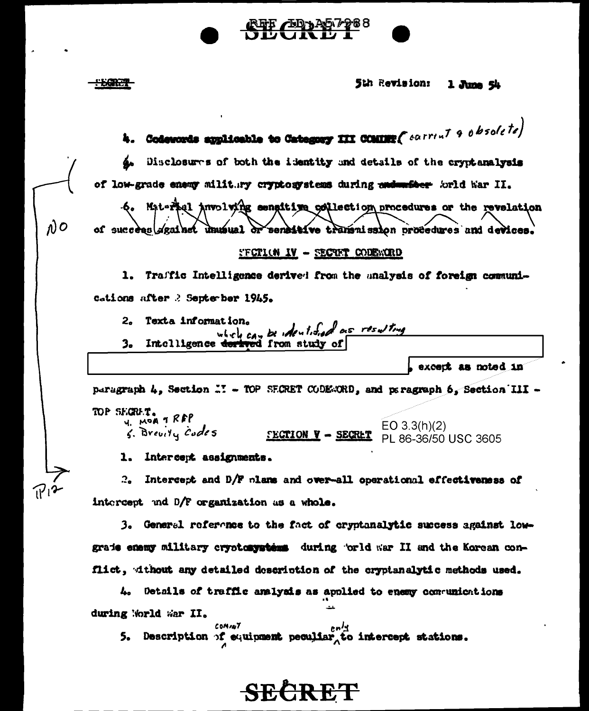|                    | REF AD A57288<br><u>DDAILD I</u> |  |
|--------------------|----------------------------------|--|
| <del>" LORAL</del> | 5th Revision: 1 June 54          |  |

|    | 4. Codewords applicable to Category III COMING( $carrint 90bsole te$ )                                                                                    |
|----|-----------------------------------------------------------------------------------------------------------------------------------------------------------|
| ğ۵ | Disclosures of both the identity and details of the cryptanalysis                                                                                         |
|    | of low-grade enemy militury cryptosystems during and methor forld har II.                                                                                 |
|    | -6. Mat-ritel Anvolving sengitive collection procedures or the revelation<br>of success against unusual or sensitive transmission procedures and devices. |
|    | <b>SECTION IV - SECTET CODESCRD</b>                                                                                                                       |
|    | 1. Traffic Intelligence derived from the malysis of foreign communi-                                                                                      |
|    | cations after 2 September 1945.                                                                                                                           |
| 2. | Texta information.<br>which can be identified as resulting                                                                                                |
| з. | Intelligence derived from study of                                                                                                                        |
|    | except as noted in                                                                                                                                        |
|    | peragraph 4, Section  TOP SECRET CODESORD, and peragraph 6, Section III -                                                                                 |
|    | TOP SEGRET.<br>U. MOR 1 RFP<br>S. Brevity Codes<br>EO $3.3(h)(2)$<br><b>SECTION V - SECRET</b><br>PL 86-36/50 USC 3605                                    |
|    | 1. Intercept assignments.                                                                                                                                 |

 $\rho$ 

 $\eta_1$ 2

Intercept and D/F plans and over-all operational effectiveness of  $2\bullet$ intercept and D/F organization as a whole.

3. General reference to the fact of cryptanalytic success against lowgrade enemy military cryptosystems during 'orld war II and the Korean conflict, without any detailed description of the cryptanalytic methods used.

4. Details of traffic analysis as applied to enemy communications during World War II.

COMANT COMANT COMANT COMANT COMANT COMANT COMANT COMANT COMME DECOLLERY CONTROL STATIONS.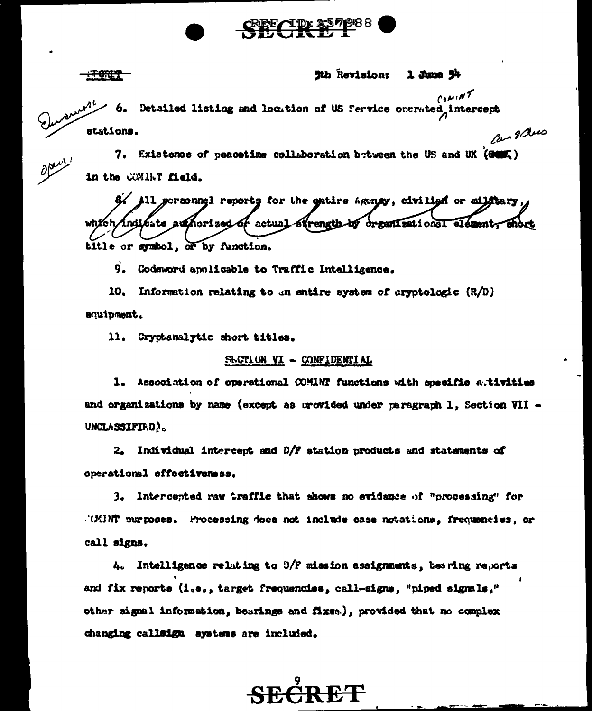

<del>: FORE?</del>

#### 5th Revision:  $1$  June  $54$

 $convM$ Detailed listing and location of US fervice operated intercept Can 8 aus stations.

7. Existence of peacetime collaboration between the US and UK (GOM) in the COMINT field.

8/ All personnel reports for the entire Agency, civilish or military, which indicate authorized of actual strength by organizational elementy anort title or symbol, or by function.

9. Codeword applicable to Traffic Intelligence.

10. Information relating to an entire system of cryptologic  $(R/D)$ equipment.

11. Cryptanalytic short titles.

## SECTION VI - CONFIDENTIAL

1. Association of operational COMINT functions with specific ativities and organizations by name (except as provided under paragraph 1, Section VII -UNCLASSIFIE.D).

2. Individual intercept and D/F station products and statements of operational effectiveness.

3. Intercepted raw traffic that shows no evidence of "processing" for .(MINT purposes. Processing does not include case notations, frequencies, or call signs.

 $4.$  Intelligence relating to  $5/F$  mission assignments, bearing reports and fix reports (i.e., target frequencies, call-signs, "piped signals," other signal information, bearings and fixes.), provided that no complex changing callsign systems are included.

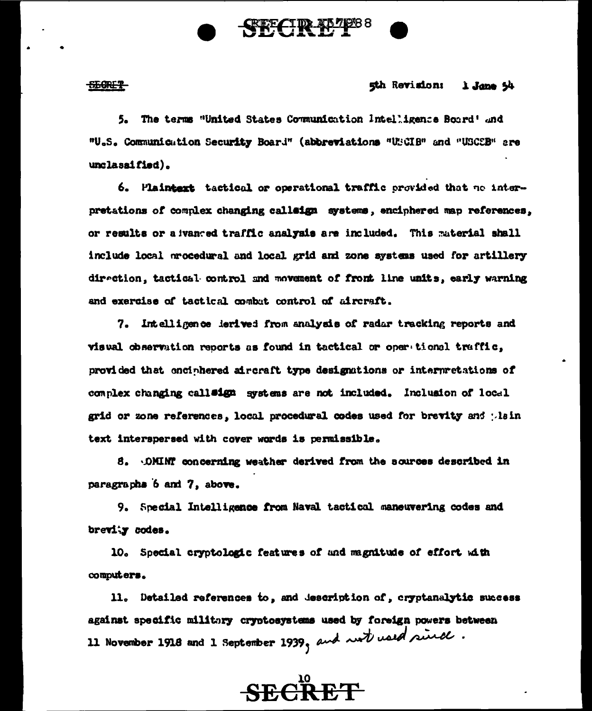

#### <u>SEGRET</u>

## 5th Revision: 1 June 54

5. The terms "United States Communication Intelligence Board' and "U.S. Communication Security Board" (abbreviations "USCIB" and "USCEB" are unclassified).

6. Plaintext tactical or operational traffic provided that no interpretations of complex changing callaign systems, enciphered map references, or results or a wanted traffic analysis are included. This material shall include local procedural and local grid and zone systems used for artillery direction, tactical control and movement of front line units, early warning and exercise of tactical combut control of aircraft.

7. Intelligence lerived from analysis of radar tracking reports and visual observation reports as found in tactical or oper tional traffic, provided that enciphered aircraft type designations or interpretations of complex changing call#ign systems are not included. Inclusion of local grid or zone references, local procedural codes used for brevity and plain text interspersed with cover words is permissible.

8. OMINT concerning weather derived from the sources described in paragraphs 6 and 7, above.

9. Special Intelligence from Naval tactical maneuvering codes and brevity codes.

10. Special cryptologic features of and magnitude of effort with computers.

11. Detailed references to, and description of, cryptanalytic success against specific military cryptosystems used by foreign powers between 11 November 1918 and 1 September 1939, and wat used since.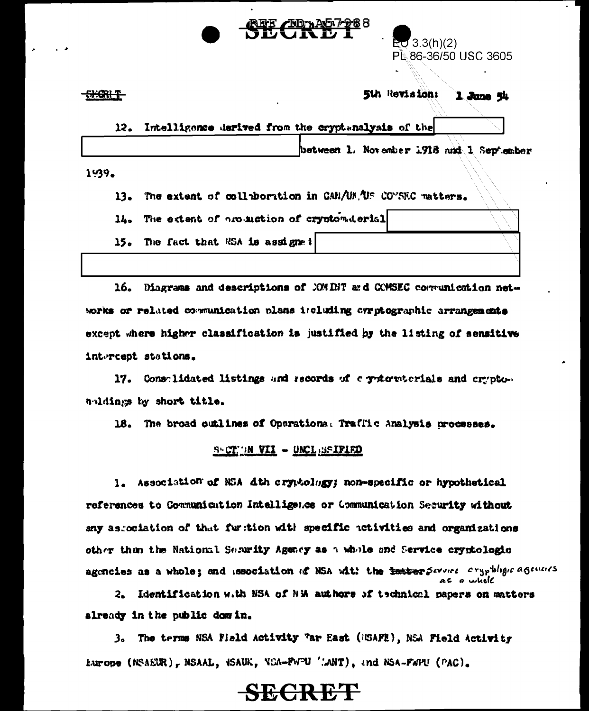| $E = 3.3(h)(2)$      |  |
|----------------------|--|
| PL 86-36/50 USC 3605 |  |
|                      |  |

<del>SHORI T</del>

#### 5th Revision: 1 June 54

|  | 12. Intelligence derived from the cryptanalysis of the |  |  |                                          |  |  |
|--|--------------------------------------------------------|--|--|------------------------------------------|--|--|
|  |                                                        |  |  | between 1. November 1918 and 1 September |  |  |
|  |                                                        |  |  |                                          |  |  |

1.39.

The extent of collaboration in CAN/UM. US CONSEC matters.  $13.$ 

14. The extent of arounction of cryptomaterial

 $15.$ The fact that NSA is assigned

16. Diagrams and descriptions of COMINT and COMSEC communication networks or related communication plans iscluding cyrptographic arrangements except where higher classification is justified by the listing of sensitive intercept stations.

17. Constituted listings and records of c yptomtorials and cryptoh-idings by short title.

18. The broad outlines of Operations: Traffic Analysis processes.

## SHOTHIN VII - UNCLESSIFIED

1. Association of NSA 4th cryptology; non-specific or hypothetical references to Communication Intelligence or Communication Security without any as contation of that furtion with specific activities and organizations other than the National Separity Agency as a whole and Service cryptologic agencies as a whole; and issociation of NSA with the tatter Severe exypthogic agencies

2. Identification w.th NSA of NM authors of technical papers on matters already in the public domin.

3. The terms NSA Field Activity "ar East (USAFE), NSA Field Activity Europe (NSAEUR), NSAAL, HSAUK, NCA-FWPU 'LANT), and NSA-FWPU (PAC).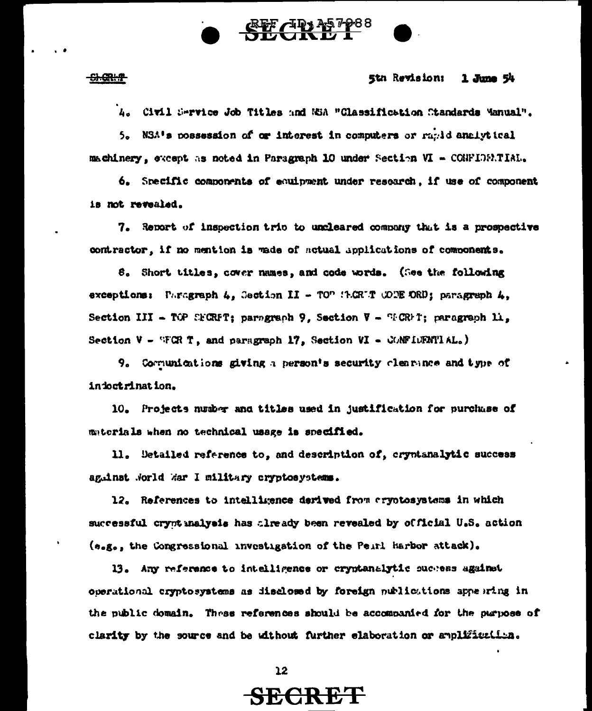# <u>an 13 m</u>

#### <del>SI GRHP</del>

#### 5th Revision:  $1$  June  $54$

A. Civil Service Job Titles and NSA "Glassification Standards Manual".

5. NSA's possession of or interest in computers or rapid analytical machinery, except as noted in Paragraph 10 under Section VI - CONFIDERTIAL.

6. Specific components of equipment under research, if use of component is not revealed.

7. Report of inspection trip to uncleared company that is a prospective contractor, if no mention is wade of notual applications of components.

8. Short titles, cover names, and code words. (See the following exceptions: Paragraph  $4$ , Section II - TO" (P.CR'T COPE ORD; paragraph  $4$ , Section III - TOP SECRFT; paragraph 9, Section  $V - T^cCR+T$ ; paragraph  $H_2$ , Section  $V - TCR$  T, and paragraph 17, Section  $VI - CCMT14L$ .)

9. Communications giving a person's security clearance and type of infoctrination.

10. Projects number and titles used in justification for purchase of materials when no technical usage is specified.

11. Detailed reference to, and description of, cryptanalytic success against Norld War I military cryptosystems.

12. References to intelligence derived from cryptosystems in which successful crypt inalysis has thready been revealed by official U.S. action (e.g., the Congressional investigation of the Peirl Harbor attack).

13. Any reference to intelligence or cryptanalytic success against operational cryptosystems as disclosed by foreign publications appearing in the public domain. These references should be accompanied for the purpose of clarity by the source and be without further elaboration or amplification.

 $12$